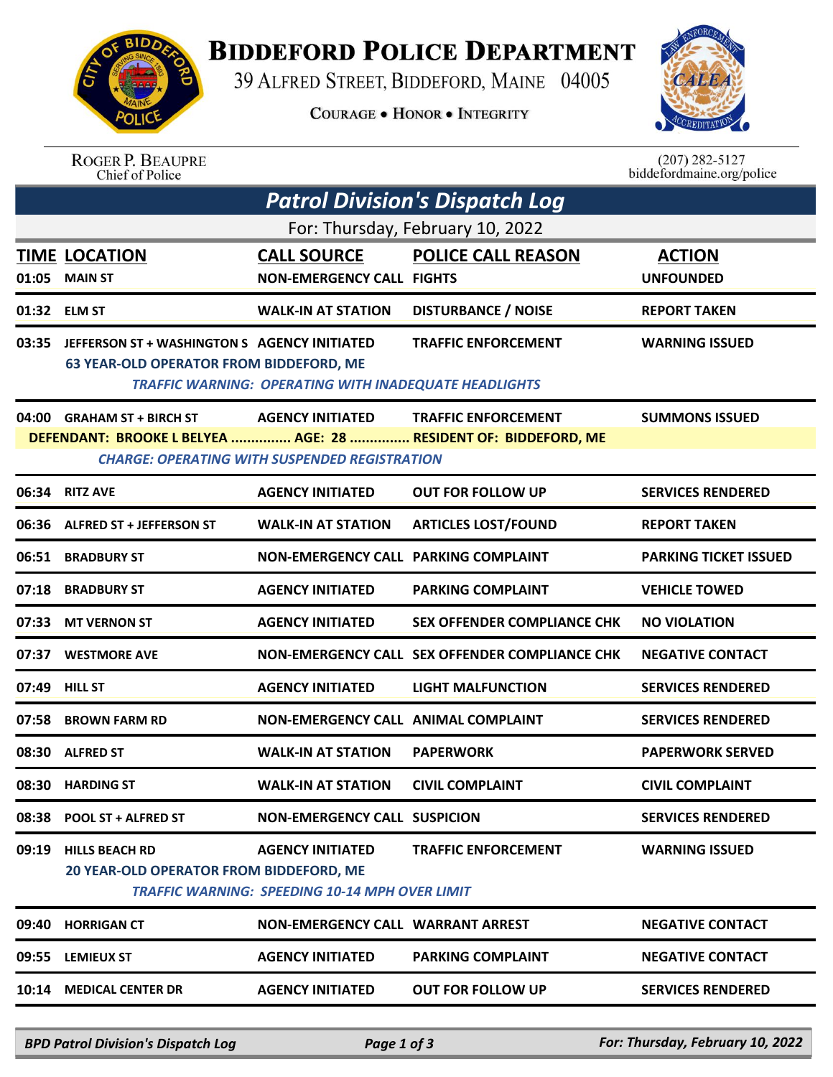

## **BIDDEFORD POLICE DEPARTMENT**

39 ALFRED STREET, BIDDEFORD, MAINE 04005

**COURAGE . HONOR . INTEGRITY** 



## ROGER P. BEAUPRE<br>Chief of Police

 $(207)$  282-5127<br>biddefordmaine.org/police

| <b>Patrol Division's Dispatch Log</b><br>For: Thursday, February 10, 2022 |                                                                                                |                                                                                  |                                                                                               |                              |  |  |  |  |
|---------------------------------------------------------------------------|------------------------------------------------------------------------------------------------|----------------------------------------------------------------------------------|-----------------------------------------------------------------------------------------------|------------------------------|--|--|--|--|
|                                                                           |                                                                                                |                                                                                  |                                                                                               |                              |  |  |  |  |
|                                                                           | 01:32 ELM ST                                                                                   | <b>WALK-IN AT STATION</b>                                                        | <b>DISTURBANCE / NOISE</b>                                                                    | <b>REPORT TAKEN</b>          |  |  |  |  |
| 03:35                                                                     | JEFFERSON ST + WASHINGTON S AGENCY INITIATED<br><b>63 YEAR-OLD OPERATOR FROM BIDDEFORD, ME</b> | <b>TRAFFIC WARNING: OPERATING WITH INADEQUATE HEADLIGHTS</b>                     | <b>TRAFFIC ENFORCEMENT</b>                                                                    | <b>WARNING ISSUED</b>        |  |  |  |  |
|                                                                           | 04:00 GRAHAM ST + BIRCH ST                                                                     | <b>AGENCY INITIATED</b><br><b>CHARGE: OPERATING WITH SUSPENDED REGISTRATION</b>  | <b>TRAFFIC ENFORCEMENT</b><br>DEFENDANT: BROOKE L BELYEA  AGE: 28  RESIDENT OF: BIDDEFORD, ME | <b>SUMMONS ISSUED</b>        |  |  |  |  |
| 06:34                                                                     | <b>RITZ AVE</b>                                                                                | <b>AGENCY INITIATED</b>                                                          | <b>OUT FOR FOLLOW UP</b>                                                                      | <b>SERVICES RENDERED</b>     |  |  |  |  |
| 06:36                                                                     | <b>ALFRED ST + JEFFERSON ST</b>                                                                | <b>WALK-IN AT STATION</b>                                                        | <b>ARTICLES LOST/FOUND</b>                                                                    | <b>REPORT TAKEN</b>          |  |  |  |  |
| 06:51                                                                     | <b>BRADBURY ST</b>                                                                             | <b>NON-EMERGENCY CALL PARKING COMPLAINT</b>                                      |                                                                                               | <b>PARKING TICKET ISSUED</b> |  |  |  |  |
| 07:18                                                                     | <b>BRADBURY ST</b>                                                                             | <b>AGENCY INITIATED</b>                                                          | <b>PARKING COMPLAINT</b>                                                                      | <b>VEHICLE TOWED</b>         |  |  |  |  |
| 07:33                                                                     | <b>MT VERNON ST</b>                                                                            | <b>AGENCY INITIATED</b>                                                          | <b>SEX OFFENDER COMPLIANCE CHK</b>                                                            | <b>NO VIOLATION</b>          |  |  |  |  |
| 07:37                                                                     | <b>WESTMORE AVE</b>                                                                            |                                                                                  | NON-EMERGENCY CALL SEX OFFENDER COMPLIANCE CHK                                                | <b>NEGATIVE CONTACT</b>      |  |  |  |  |
| 07:49                                                                     | <b>HILL ST</b>                                                                                 | <b>AGENCY INITIATED</b>                                                          | <b>LIGHT MALFUNCTION</b>                                                                      | <b>SERVICES RENDERED</b>     |  |  |  |  |
| 07:58                                                                     | <b>BROWN FARM RD</b>                                                                           | <b>NON-EMERGENCY CALL ANIMAL COMPLAINT</b>                                       |                                                                                               | <b>SERVICES RENDERED</b>     |  |  |  |  |
|                                                                           | 08:30 ALFRED ST                                                                                | <b>WALK-IN AT STATION</b>                                                        | <b>PAPERWORK</b>                                                                              | <b>PAPERWORK SERVED</b>      |  |  |  |  |
|                                                                           | 08:30 HARDING ST                                                                               | <b>WALK-IN AT STATION</b>                                                        | <b>CIVIL COMPLAINT</b>                                                                        | <b>CIVIL COMPLAINT</b>       |  |  |  |  |
|                                                                           | 08:38 POOL ST + ALFRED ST                                                                      | <b>NON-EMERGENCY CALL SUSPICION</b>                                              |                                                                                               | <b>SERVICES RENDERED</b>     |  |  |  |  |
| 09:19                                                                     | <b>HILLS BEACH RD</b><br>20 YEAR-OLD OPERATOR FROM BIDDEFORD, ME                               | <b>AGENCY INITIATED</b><br><b>TRAFFIC WARNING: SPEEDING 10-14 MPH OVER LIMIT</b> | <b>TRAFFIC ENFORCEMENT</b>                                                                    | <b>WARNING ISSUED</b>        |  |  |  |  |
| 09:40                                                                     | <b>HORRIGAN CT</b>                                                                             | <b>NON-EMERGENCY CALL WARRANT ARREST</b>                                         |                                                                                               | <b>NEGATIVE CONTACT</b>      |  |  |  |  |
| 09:55                                                                     | <b>LEMIEUX ST</b>                                                                              | <b>AGENCY INITIATED</b>                                                          | <b>PARKING COMPLAINT</b>                                                                      | <b>NEGATIVE CONTACT</b>      |  |  |  |  |
| 10:14                                                                     | <b>MEDICAL CENTER DR</b>                                                                       | <b>AGENCY INITIATED</b>                                                          | <b>OUT FOR FOLLOW UP</b>                                                                      | <b>SERVICES RENDERED</b>     |  |  |  |  |
|                                                                           |                                                                                                |                                                                                  |                                                                                               |                              |  |  |  |  |

*BPD Patrol Division's Dispatch Log Page 1 of 3 For: Thursday, February 10, 2022*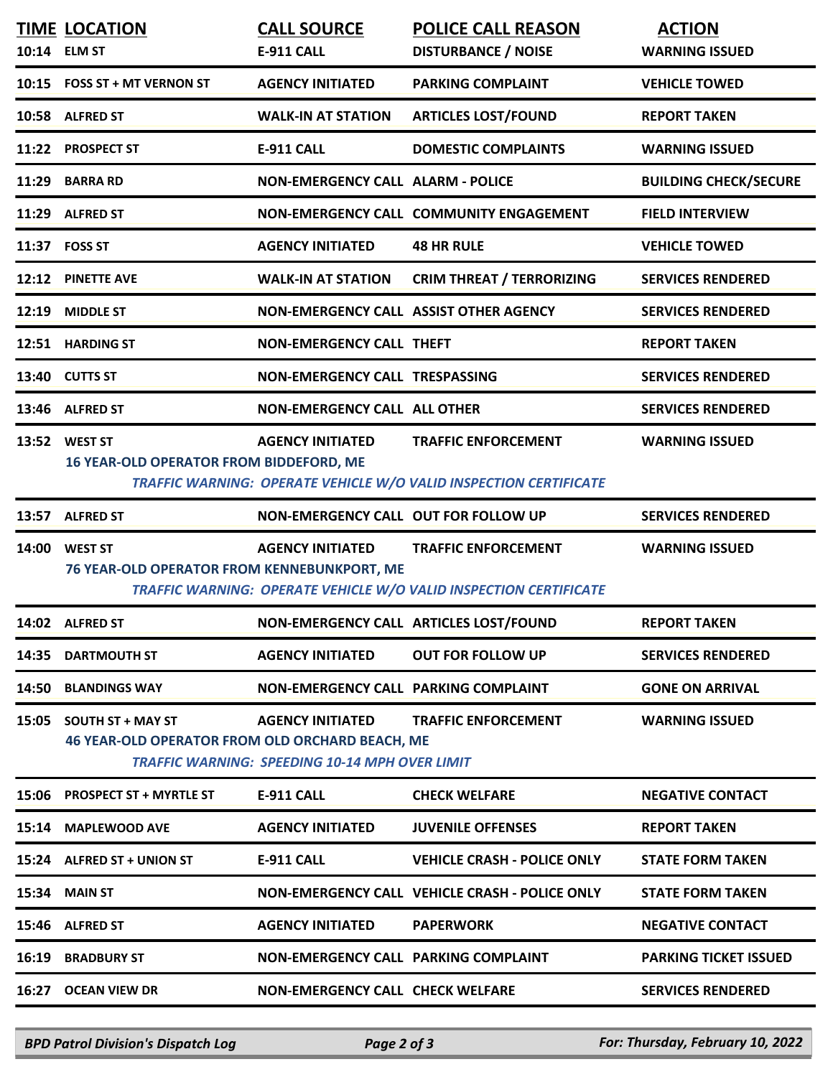|       | <b>TIME LOCATION</b><br>10:14 ELM ST                                       | <b>CALL SOURCE</b><br><b>E-911 CALL</b>                                          | <b>POLICE CALL REASON</b><br><b>DISTURBANCE / NOISE</b>                                                | <b>ACTION</b><br><b>WARNING ISSUED</b> |
|-------|----------------------------------------------------------------------------|----------------------------------------------------------------------------------|--------------------------------------------------------------------------------------------------------|----------------------------------------|
|       | 10:15 FOSS ST + MT VERNON ST                                               | <b>AGENCY INITIATED</b>                                                          | <b>PARKING COMPLAINT</b>                                                                               | <b>VEHICLE TOWED</b>                   |
|       | 10:58 ALFRED ST                                                            | <b>WALK-IN AT STATION</b>                                                        | <b>ARTICLES LOST/FOUND</b>                                                                             | <b>REPORT TAKEN</b>                    |
|       | 11:22 PROSPECT ST                                                          | E-911 CALL                                                                       | <b>DOMESTIC COMPLAINTS</b>                                                                             | <b>WARNING ISSUED</b>                  |
|       | 11:29 BARRA RD                                                             | <b>NON-EMERGENCY CALL ALARM - POLICE</b>                                         |                                                                                                        | <b>BUILDING CHECK/SECURE</b>           |
|       | 11:29 ALFRED ST                                                            |                                                                                  | NON-EMERGENCY CALL COMMUNITY ENGAGEMENT                                                                | <b>FIELD INTERVIEW</b>                 |
|       | 11:37 FOSS ST                                                              | <b>AGENCY INITIATED</b>                                                          | <b>48 HR RULE</b>                                                                                      | <b>VEHICLE TOWED</b>                   |
|       | 12:12 PINETTE AVE                                                          | <b>WALK-IN AT STATION</b>                                                        | <b>CRIM THREAT / TERRORIZING</b>                                                                       | <b>SERVICES RENDERED</b>               |
| 12:19 | <b>MIDDLE ST</b>                                                           | NON-EMERGENCY CALL ASSIST OTHER AGENCY                                           |                                                                                                        | <b>SERVICES RENDERED</b>               |
|       | 12:51 HARDING ST                                                           | <b>NON-EMERGENCY CALL THEFT</b>                                                  |                                                                                                        | <b>REPORT TAKEN</b>                    |
|       | 13:40 CUTTS ST                                                             | NON-EMERGENCY CALL TRESPASSING                                                   |                                                                                                        | <b>SERVICES RENDERED</b>               |
|       | 13:46 ALFRED ST                                                            | <b>NON-EMERGENCY CALL ALL OTHER</b>                                              |                                                                                                        | <b>SERVICES RENDERED</b>               |
|       | 13:52 WEST ST<br><b>16 YEAR-OLD OPERATOR FROM BIDDEFORD, ME</b>            | <b>AGENCY INITIATED</b>                                                          | <b>TRAFFIC ENFORCEMENT</b><br><b>TRAFFIC WARNING: OPERATE VEHICLE W/O VALID INSPECTION CERTIFICATE</b> | <b>WARNING ISSUED</b>                  |
|       | 13:57 ALFRED ST                                                            | <b>NON-EMERGENCY CALL OUT FOR FOLLOW UP</b>                                      |                                                                                                        | <b>SERVICES RENDERED</b>               |
|       | 14:00 WEST ST<br>76 YEAR-OLD OPERATOR FROM KENNEBUNKPORT, ME               | <b>AGENCY INITIATED</b>                                                          | <b>TRAFFIC ENFORCEMENT</b><br>TRAFFIC WARNING: OPERATE VEHICLE W/O VALID INSPECTION CERTIFICATE        | <b>WARNING ISSUED</b>                  |
|       | 14:02 ALFRED ST                                                            |                                                                                  | NON-EMERGENCY CALL ARTICLES LOST/FOUND                                                                 | <b>REPORT TAKEN</b>                    |
|       | 14:35 DARTMOUTH ST                                                         | <b>AGENCY INITIATED</b>                                                          | <b>OUT FOR FOLLOW UP</b>                                                                               | <b>SERVICES RENDERED</b>               |
|       | 14:50 BLANDINGS WAY                                                        | NON-EMERGENCY CALL PARKING COMPLAINT                                             |                                                                                                        | <b>GONE ON ARRIVAL</b>                 |
|       | 15:05 SOUTH ST + MAY ST<br>46 YEAR-OLD OPERATOR FROM OLD ORCHARD BEACH, ME | <b>AGENCY INITIATED</b><br><b>TRAFFIC WARNING: SPEEDING 10-14 MPH OVER LIMIT</b> | <b>TRAFFIC ENFORCEMENT</b>                                                                             | <b>WARNING ISSUED</b>                  |
|       | 15:06 PROSPECT ST + MYRTLE ST                                              | <b>E-911 CALL</b>                                                                | <b>CHECK WELFARE</b>                                                                                   | <b>NEGATIVE CONTACT</b>                |
|       | 15:14 MAPLEWOOD AVE                                                        | <b>AGENCY INITIATED</b>                                                          | <b>JUVENILE OFFENSES</b>                                                                               | <b>REPORT TAKEN</b>                    |
|       | 15:24 ALFRED ST + UNION ST                                                 | <b>E-911 CALL</b>                                                                | <b>VEHICLE CRASH - POLICE ONLY</b>                                                                     | <b>STATE FORM TAKEN</b>                |
| 15:34 | <b>MAIN ST</b>                                                             |                                                                                  | <b>NON-EMERGENCY CALL VEHICLE CRASH - POLICE ONLY</b>                                                  | <b>STATE FORM TAKEN</b>                |
|       | 15:46 ALFRED ST                                                            | <b>AGENCY INITIATED</b>                                                          | <b>PAPERWORK</b>                                                                                       | <b>NEGATIVE CONTACT</b>                |
| 16:19 | <b>BRADBURY ST</b>                                                         | <b>NON-EMERGENCY CALL PARKING COMPLAINT</b>                                      |                                                                                                        | <b>PARKING TICKET ISSUED</b>           |
|       | 16:27 OCEAN VIEW DR                                                        | <b>NON-EMERGENCY CALL CHECK WELFARE</b>                                          |                                                                                                        | <b>SERVICES RENDERED</b>               |
|       |                                                                            |                                                                                  |                                                                                                        |                                        |

*BPD Patrol Division's Dispatch Log Page 2 of 3 For: Thursday, February 10, 2022*